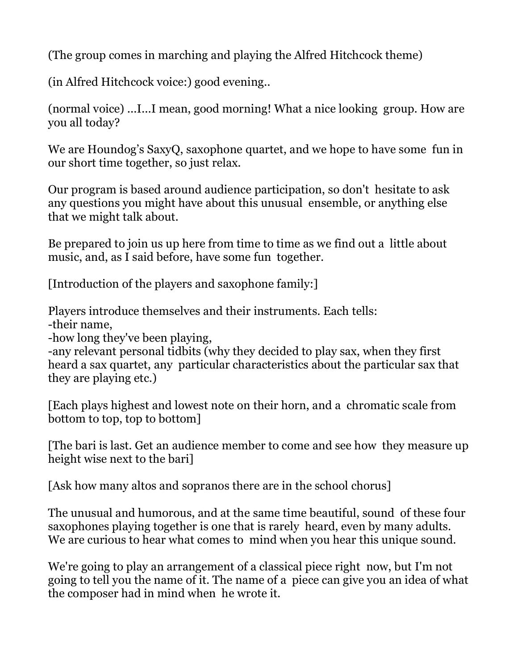(The group comes in marching and playing the Alfred Hitchcock theme)

(in Alfred Hitchcock voice:) good evening..

(normal voice) ...I...I mean, good morning! What a nice looking group. How are you all today?

We are Houndog's SaxyQ, saxophone quartet, and we hope to have some fun in our short time together, so just relax.

Our program is based around audience participation, so don't hesitate to ask any questions you might have about this unusual ensemble, or anything else that we might talk about.

Be prepared to join us up here from time to time as we find out a little about music, and, as I said before, have some fun together.

[Introduction of the players and saxophone family:]

Players introduce themselves and their instruments. Each tells:

-their name,

-how long they've been playing,

-any relevant personal tidbits (why they decided to play sax, when they first heard a sax quartet, any particular characteristics about the particular sax that they are playing etc.)

[Each plays highest and lowest note on their horn, and a chromatic scale from bottom to top, top to bottom]

[The bari is last. Get an audience member to come and see how they measure up height wise next to the bari]

[Ask how many altos and sopranos there are in the school chorus]

The unusual and humorous, and at the same time beautiful, sound of these four saxophones playing together is one that is rarely heard, even by many adults. We are curious to hear what comes to mind when you hear this unique sound.

We're going to play an arrangement of a classical piece right now, but I'm not going to tell you the name of it. The name of a piece can give you an idea of what the composer had in mind when he wrote it.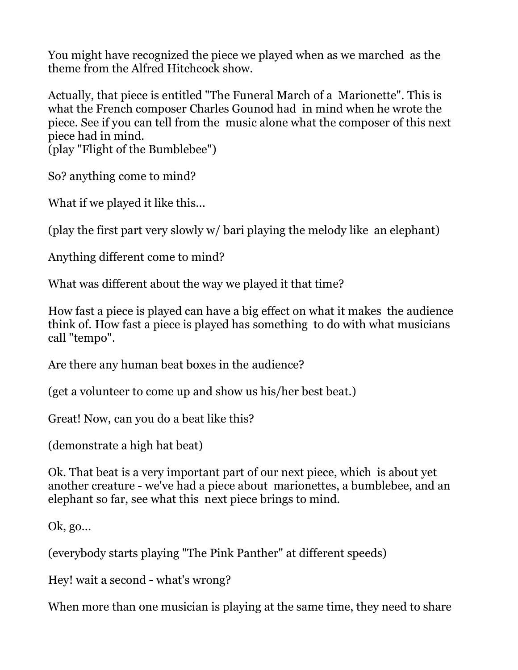You might have recognized the piece we played when as we marched as the theme from the Alfred Hitchcock show.

Actually, that piece is entitled "The Funeral March of a Marionette". This is what the French composer Charles Gounod had in mind when he wrote the piece. See if you can tell from the music alone what the composer of this next piece had in mind.

(play "Flight of the Bumblebee")

So? anything come to mind?

What if we played it like this...

(play the first part very slowly w/ bari playing the melody like an elephant)

Anything different come to mind?

What was different about the way we played it that time?

How fast a piece is played can have a big effect on what it makes the audience think of. How fast a piece is played has something to do with what musicians call "tempo".

Are there any human beat boxes in the audience?

(get a volunteer to come up and show us his/her best beat.)

Great! Now, can you do a beat like this?

(demonstrate a high hat beat)

Ok. That beat is a very important part of our next piece, which is about yet another creature - we've had a piece about marionettes, a bumblebee, and an elephant so far, see what this next piece brings to mind.

Ok, go...

(everybody starts playing "The Pink Panther" at different speeds)

Hey! wait a second - what's wrong?

When more than one musician is playing at the same time, they need to share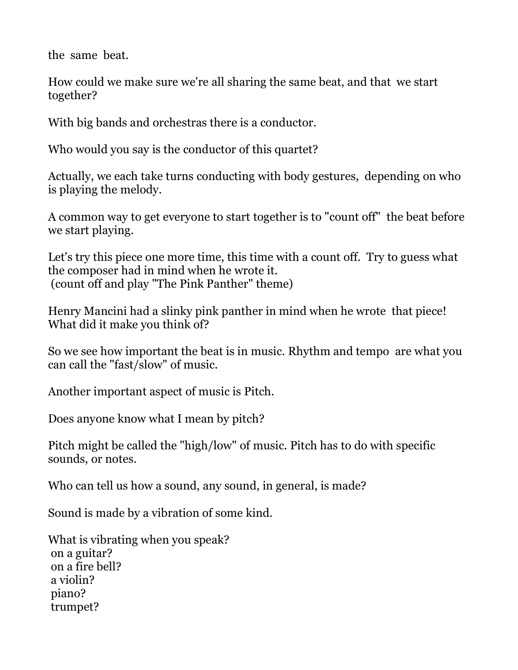the same beat.

How could we make sure we're all sharing the same beat, and that we start together?

With big bands and orchestras there is a conductor.

Who would you say is the conductor of this quartet?

Actually, we each take turns conducting with body gestures, depending on who is playing the melody.

A common way to get everyone to start together is to "count off" the beat before we start playing.

Let's try this piece one more time, this time with a count off. Try to guess what the composer had in mind when he wrote it. (count off and play "The Pink Panther" theme)

Henry Mancini had a slinky pink panther in mind when he wrote that piece! What did it make you think of?

So we see how important the beat is in music. Rhythm and tempo are what you can call the "fast/slow" of music.

Another important aspect of music is Pitch.

Does anyone know what I mean by pitch?

Pitch might be called the "high/low" of music. Pitch has to do with specific sounds, or notes.

Who can tell us how a sound, any sound, in general, is made?

Sound is made by a vibration of some kind.

What is vibrating when you speak? on a guitar? on a fire bell? a violin? piano? trumpet?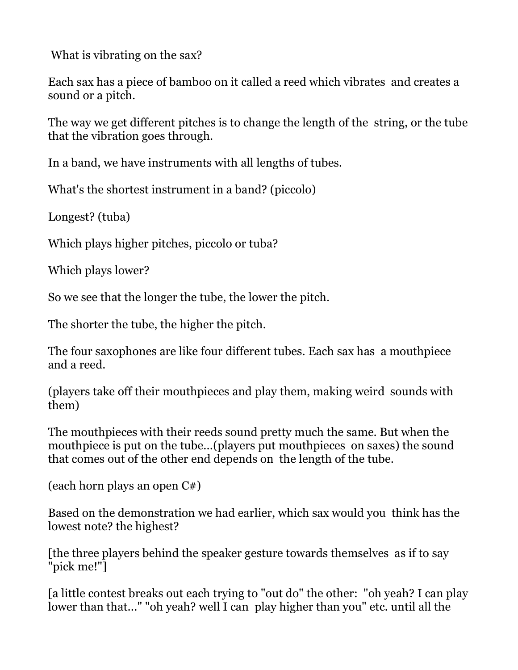What is vibrating on the sax?

Each sax has a piece of bamboo on it called a reed which vibrates and creates a sound or a pitch.

The way we get different pitches is to change the length of the string, or the tube that the vibration goes through.

In a band, we have instruments with all lengths of tubes.

What's the shortest instrument in a band? (piccolo)

Longest? (tuba)

Which plays higher pitches, piccolo or tuba?

Which plays lower?

So we see that the longer the tube, the lower the pitch.

The shorter the tube, the higher the pitch.

The four saxophones are like four different tubes. Each sax has a mouthpiece and a reed.

(players take off their mouthpieces and play them, making weird sounds with them)

The mouthpieces with their reeds sound pretty much the same. But when the mouthpiece is put on the tube...(players put mouthpieces on saxes) the sound that comes out of the other end depends on the length of the tube.

(each horn plays an open C#)

Based on the demonstration we had earlier, which sax would you think has the lowest note? the highest?

[the three players behind the speaker gesture towards themselves as if to say "pick me!"]

[a little contest breaks out each trying to "out do" the other: "oh yeah? I can play lower than that..." "oh yeah? well I can play higher than you" etc. until all the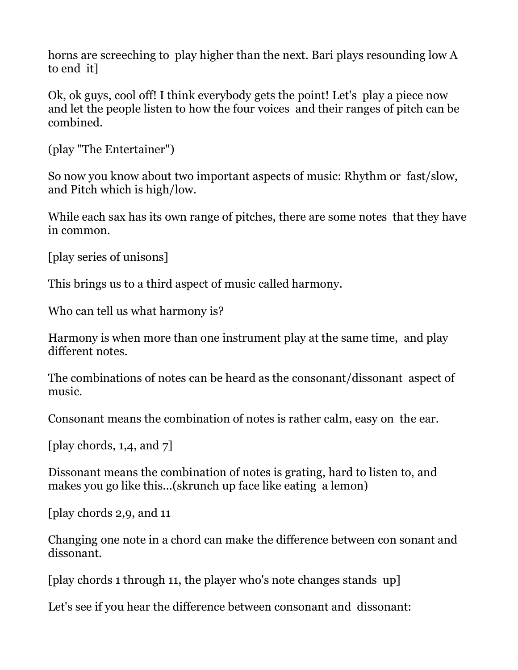horns are screeching to play higher than the next. Bari plays resounding low A to end it]

Ok, ok guys, cool off! I think everybody gets the point! Let's play a piece now and let the people listen to how the four voices and their ranges of pitch can be combined.

```
(play "The Entertainer")
```
So now you know about two important aspects of music: Rhythm or fast/slow, and Pitch which is high/low.

While each sax has its own range of pitches, there are some notes that they have in common.

```
[play series of unisons]
```
This brings us to a third aspect of music called harmony.

Who can tell us what harmony is?

Harmony is when more than one instrument play at the same time, and play different notes.

The combinations of notes can be heard as the consonant/dissonant aspect of music.

Consonant means the combination of notes is rather calm, easy on the ear.

[play chords, 1,4, and 7]

Dissonant means the combination of notes is grating, hard to listen to, and makes you go like this...(skrunch up face like eating a lemon)

[play chords 2,9, and 11

Changing one note in a chord can make the difference between con sonant and dissonant.

[play chords 1 through 11, the player who's note changes stands up]

Let's see if you hear the difference between consonant and dissonant: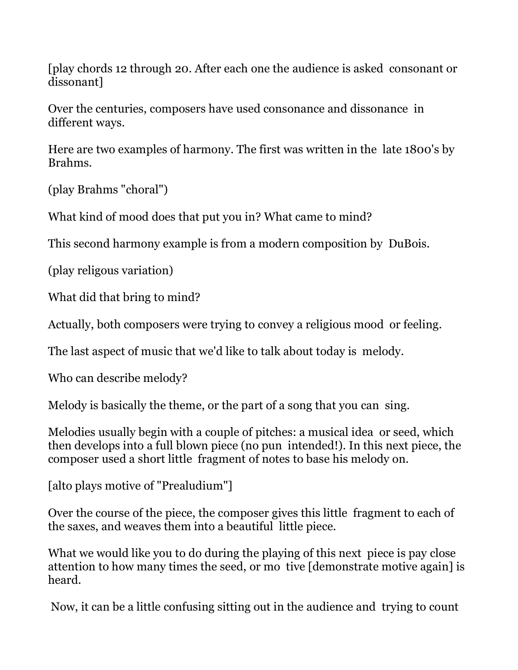[play chords 12 through 20. After each one the audience is asked consonant or dissonant]

Over the centuries, composers have used consonance and dissonance in different ways.

Here are two examples of harmony. The first was written in the late 1800's by Brahms.

(play Brahms "choral")

What kind of mood does that put you in? What came to mind?

This second harmony example is from a modern composition by DuBois.

(play religous variation)

What did that bring to mind?

Actually, both composers were trying to convey a religious mood or feeling.

The last aspect of music that we'd like to talk about today is melody.

Who can describe melody?

Melody is basically the theme, or the part of a song that you can sing.

Melodies usually begin with a couple of pitches: a musical idea or seed, which then develops into a full blown piece (no pun intended!). In this next piece, the composer used a short little fragment of notes to base his melody on.

[alto plays motive of "Prealudium"]

Over the course of the piece, the composer gives this little fragment to each of the saxes, and weaves them into a beautiful little piece.

What we would like you to do during the playing of this next piece is pay close attention to how many times the seed, or mo tive [demonstrate motive again] is heard.

Now, it can be a little confusing sitting out in the audience and trying to count